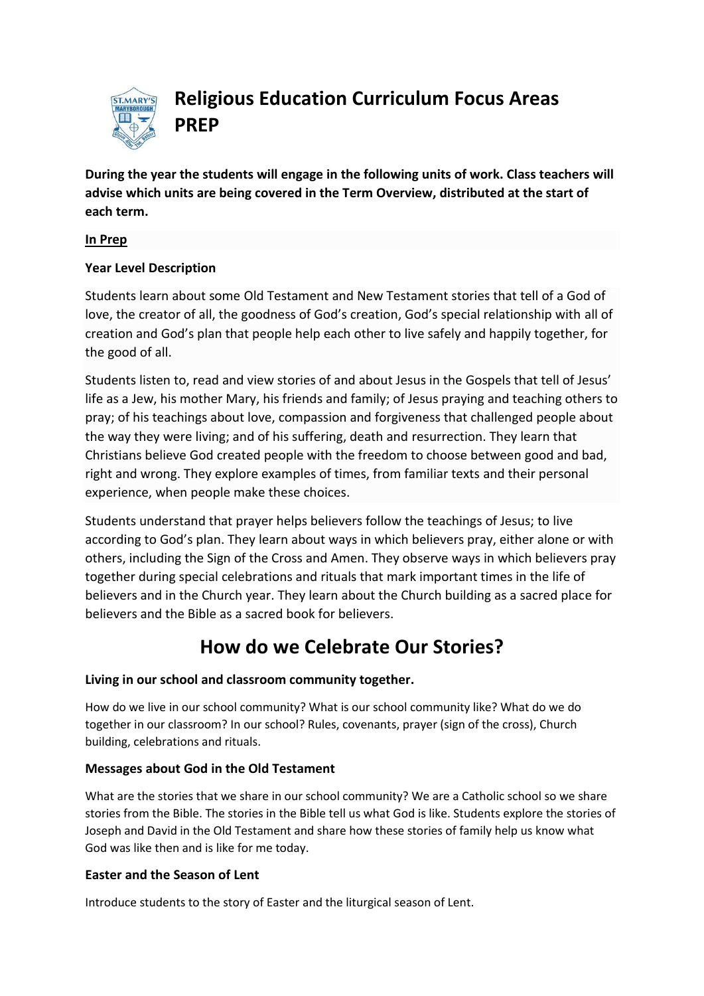

**Religious Education Curriculum Focus Areas PREP**

**During the year the students will engage in the following units of work. Class teachers will advise which units are being covered in the Term Overview, distributed at the start of each term.**

## **In Prep**

## **Year Level Description**

Students learn about some [Old Testament](http://www.rec.bne.catholic.edu.au/Pages/Religious-Education.aspx) and [New Testament](http://www.rec.bne.catholic.edu.au/Pages/Religious-Education.aspx) stories that tell of a God of love, the creator of all, the goodness of God's creation, God's special relationship with all of creation and God's plan that people help each other to live safely and happily together, for the good of all.

Students listen to, read and view stories of and about Jesus in the Gospels that tell of Jesus' life as a Jew, his mother Mary, his friends and family; of Jesus praying and teaching others to pray; of his teachings about love, compassion and forgiveness that challenged people about the way they were living; and of his suffering, death and [resurrection.](http://www.rec.bne.catholic.edu.au/Pages/Religious-Education.aspx) They learn that Christians believe God created people with the freedom to choose between good and bad, right and wrong. They explore examples of times, from familiar texts and their personal experience, when people make these choices.

Students understand that prayer helps believers follow the teachings of Jesus; to live according to God's plan. They learn about ways in which believers pray, either alone or with others, including the Sign of the Cross and Amen. They observe ways in which believers pray together during special celebrations and rituals that mark important times in the life of believers and in the Church year. They learn about the Church building as a sacred place for believers and the Bible as a sacred book for believers.

# **How do we Celebrate Our Stories?**

#### **Living in our school and classroom community together.**

How do we live in our school community? What is our school community like? What do we do together in our classroom? In our school? Rules, covenants, prayer (sign of the cross), Church building, celebrations and rituals.

#### **Messages about God in the Old Testament**

What are the stories that we share in our school community? We are a Catholic school so we share stories from the Bible. The stories in the Bible tell us what God is like. Students explore the stories of Joseph and David in the Old Testament and share how these stories of family help us know what God was like then and is like for me today.

#### **Easter and the Season of Lent**

Introduce students to the story of Easter and the liturgical season of Lent.